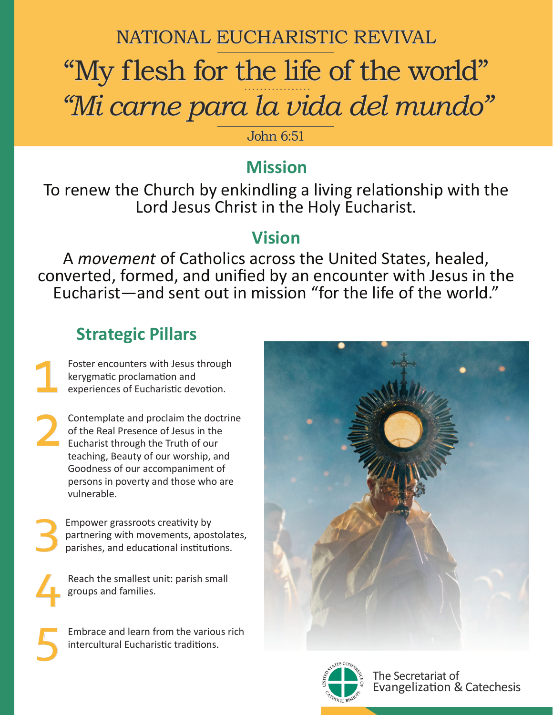### NATIONAL EUCHARISTIC REVIVAL

# "My flesh for the life of the world" *"Mi carne para la vida del mundo"*

John 6:51

## **Mission**

To renew the Church by enkindling a living relationship with the Lord Jesus Christ in the Holy Eucharist.

#### **Vision**

A *movement* of Catholics across the United States, healed, converted, formed, and unified by an encounter with Jesus in the Eucharist—and sent out in mission "for the life of the world."

## **Strategic Pillars**

Foster encounters with Jesus through kerygmatic proclamation and experiences of Eucharistic devotion. 1

Contemplate and proclaim the doctrine of the Real Presence of Jesus in the **Eucharist through the Truth of our** teaching, Beauty of our worship, and Goodness of our accompaniment of persons in poverty and those who are vulnerable. 2

3 Empower grassroots creativity by partnering with movements, apostolates, parishes, and educational institutions.

4 Reach the smallest unit: parish small groups and families.

5

Embrace and learn from the various rich intercultural Eucharistic traditions.





The Secretariat of Evangelization & Catechesis